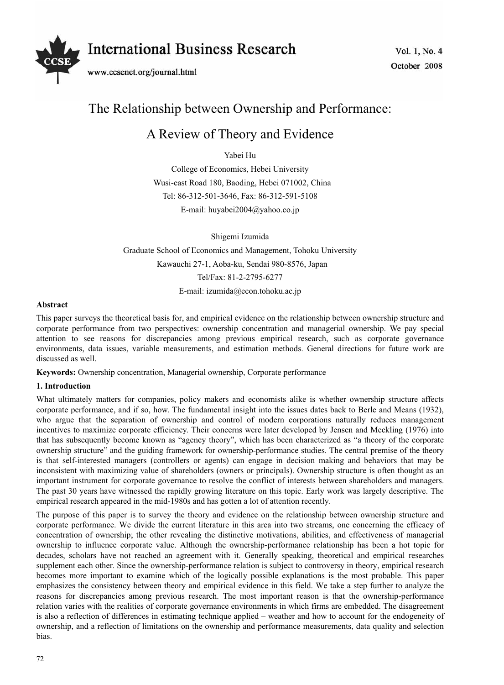

# The Relationship between Ownership and Performance:

## A Review of Theory and Evidence

Yabei Hu

College of Economics, Hebei University Wusi-east Road 180, Baoding, Hebei 071002, China Tel: 86-312-501-3646, Fax: 86-312-591-5108 E-mail: huyabei2004@yahoo.co.jp

Shigemi Izumida Graduate School of Economics and Management, Tohoku University Kawauchi 27-1, Aoba-ku, Sendai 980-8576, Japan Tel/Fax: 81-2-2795-6277 E-mail: izumida@econ.tohoku.ac.jp

## **Abstract**

This paper surveys the theoretical basis for, and empirical evidence on the relationship between ownership structure and corporate performance from two perspectives: ownership concentration and managerial ownership. We pay special attention to see reasons for discrepancies among previous empirical research, such as corporate governance environments, data issues, variable measurements, and estimation methods. General directions for future work are discussed as well.

**Keywords:** Ownership concentration, Managerial ownership, Corporate performance

## **1. Introduction**

What ultimately matters for companies, policy makers and economists alike is whether ownership structure affects corporate performance, and if so, how. The fundamental insight into the issues dates back to Berle and Means (1932), who argue that the separation of ownership and control of modern corporations naturally reduces management incentives to maximize corporate efficiency. Their concerns were later developed by Jensen and Meckling (1976) into that has subsequently become known as "agency theory", which has been characterized as "a theory of the corporate ownership structure" and the guiding framework for ownership-performance studies. The central premise of the theory is that self-interested managers (controllers or agents) can engage in decision making and behaviors that may be inconsistent with maximizing value of shareholders (owners or principals). Ownership structure is often thought as an important instrument for corporate governance to resolve the conflict of interests between shareholders and managers. The past 30 years have witnessed the rapidly growing literature on this topic. Early work was largely descriptive. The empirical research appeared in the mid-1980s and has gotten a lot of attention recently.

The purpose of this paper is to survey the theory and evidence on the relationship between ownership structure and corporate performance. We divide the current literature in this area into two streams, one concerning the efficacy of concentration of ownership; the other revealing the distinctive motivations, abilities, and effectiveness of managerial ownership to influence corporate value. Although the ownership-performance relationship has been a hot topic for decades, scholars have not reached an agreement with it. Generally speaking, theoretical and empirical researches supplement each other. Since the ownership-performance relation is subject to controversy in theory, empirical research becomes more important to examine which of the logically possible explanations is the most probable. This paper emphasizes the consistency between theory and empirical evidence in this field. We take a step further to analyze the reasons for discrepancies among previous research. The most important reason is that the ownership-performance relation varies with the realities of corporate governance environments in which firms are embedded. The disagreement is also a reflection of differences in estimating technique applied – weather and how to account for the endogeneity of ownership, and a reflection of limitations on the ownership and performance measurements, data quality and selection bias.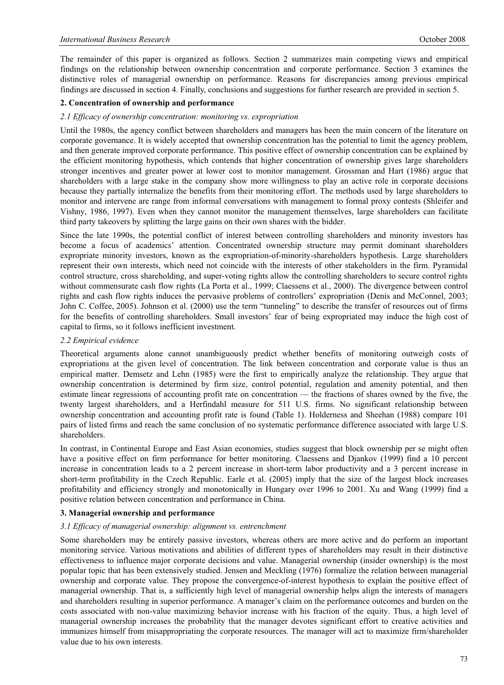The remainder of this paper is organized as follows. Section 2 summarizes main competing views and empirical findings on the relationship between ownership concentration and corporate performance. Section 3 examines the distinctive roles of managerial ownership on performance. Reasons for discrepancies among previous empirical findings are discussed in section 4. Finally, conclusions and suggestions for further research are provided in section 5.

#### **2. Concentration of ownership and performance**

#### *2.1 Efficacy of ownership concentration: monitoring vs. expropriation*

Until the 1980s, the agency conflict between shareholders and managers has been the main concern of the literature on corporate governance. It is widely accepted that ownership concentration has the potential to limit the agency problem, and then generate improved corporate performance. This positive effect of ownership concentration can be explained by the efficient monitoring hypothesis, which contends that higher concentration of ownership gives large shareholders stronger incentives and greater power at lower cost to monitor management. Grossman and Hart (1986) argue that shareholders with a large stake in the company show more willingness to play an active role in corporate decisions because they partially internalize the benefits from their monitoring effort. The methods used by large shareholders to monitor and intervene are range from informal conversations with management to formal proxy contests (Shleifer and Vishny, 1986, 1997). Even when they cannot monitor the management themselves, large shareholders can facilitate third party takeovers by splitting the large gains on their own shares with the bidder.

Since the late 1990s, the potential conflict of interest between controlling shareholders and minority investors has become a focus of academics' attention. Concentrated ownership structure may permit dominant shareholders expropriate minority investors, known as the expropriation-of-minority-shareholders hypothesis. Large shareholders represent their own interests, which need not coincide with the interests of other stakeholders in the firm. Pyramidal control structure, cross shareholding, and super-voting rights allow the controlling shareholders to secure control rights without commensurate cash flow rights (La Porta et al., 1999; Claessens et al., 2000). The divergence between control rights and cash flow rights induces the pervasive problems of controllers' expropriation (Denis and McConnel, 2003; John C. Coffee, 2005). Johnson et al. (2000) use the term "tunneling" to describe the transfer of resources out of firms for the benefits of controlling shareholders. Small investors' fear of being expropriated may induce the high cost of capital to firms, so it follows inefficient investment.

#### *2.2 Empirical evidence*

Theoretical arguments alone cannot unambiguously predict whether benefits of monitoring outweigh costs of expropriations at the given level of concentration. The link between concentration and corporate value is thus an empirical matter. Demsetz and Lehn (1985) were the first to empirically analyze the relationship. They argue that ownership concentration is determined by firm size, control potential, regulation and amenity potential, and then estimate linear regressions of accounting profit rate on concentration — the fractions of shares owned by the five, the twenty largest shareholders, and a Herfindahl measure for 511 U.S. firms. No significant relationship between ownership concentration and accounting profit rate is found (Table 1). Holderness and Sheehan (1988) compare 101 pairs of listed firms and reach the same conclusion of no systematic performance difference associated with large U.S. shareholders.

In contrast, in Continental Europe and East Asian economies, studies suggest that block ownership per se might often have a positive effect on firm performance for better monitoring. Claessens and Djankov (1999) find a 10 percent increase in concentration leads to a 2 percent increase in short-term labor productivity and a 3 percent increase in short-term profitability in the Czech Republic. Earle et al. (2005) imply that the size of the largest block increases profitability and efficiency strongly and monotonically in Hungary over 1996 to 2001. Xu and Wang (1999) find a positive relation between concentration and performance in China.

#### **3. Managerial ownership and performance**

#### *3.1 Efficacy of managerial ownership: alignment vs. entrenchment*

Some shareholders may be entirely passive investors, whereas others are more active and do perform an important monitoring service. Various motivations and abilities of different types of shareholders may result in their distinctive effectiveness to influence major corporate decisions and value. Managerial ownership (insider ownership) is the most popular topic that has been extensively studied. Jensen and Meckling (1976) formalize the relation between managerial ownership and corporate value. They propose the convergence-of-interest hypothesis to explain the positive effect of managerial ownership. That is, a sufficiently high level of managerial ownership helps align the interests of managers and shareholders resulting in superior performance. A manager's claim on the performance outcomes and burden on the costs associated with non-value maximizing behavior increase with his fraction of the equity. Thus, a high level of managerial ownership increases the probability that the manager devotes significant effort to creative activities and immunizes himself from misappropriating the corporate resources. The manager will act to maximize firm/shareholder value due to his own interests.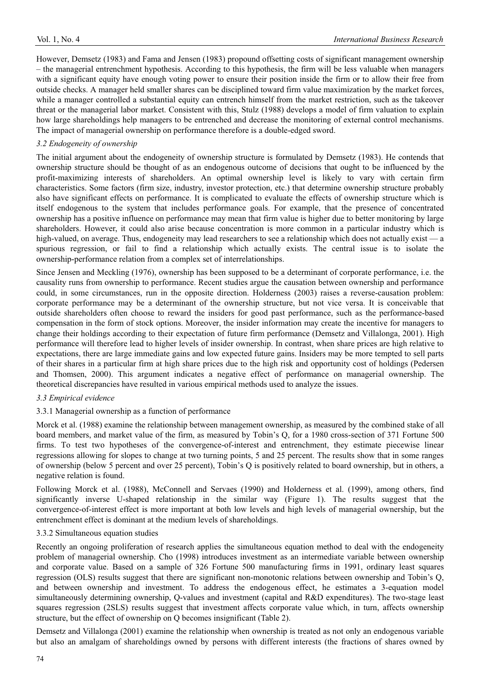However, Demsetz (1983) and Fama and Jensen (1983) propound offsetting costs of significant management ownership – the managerial entrenchment hypothesis. According to this hypothesis, the firm will be less valuable when managers with a significant equity have enough voting power to ensure their position inside the firm or to allow their free from outside checks. A manager held smaller shares can be disciplined toward firm value maximization by the market forces, while a manager controlled a substantial equity can entrench himself from the market restriction, such as the takeover threat or the managerial labor market. Consistent with this, Stulz (1988) develops a model of firm valuation to explain how large shareholdings help managers to be entrenched and decrease the monitoring of external control mechanisms. The impact of managerial ownership on performance therefore is a double-edged sword.

## *3.2 Endogeneity of ownership*

The initial argument about the endogeneity of ownership structure is formulated by Demsetz (1983). He contends that ownership structure should be thought of as an endogenous outcome of decisions that ought to be influenced by the profit-maximizing interests of shareholders. An optimal ownership level is likely to vary with certain firm characteristics. Some factors (firm size, industry, investor protection, etc.) that determine ownership structure probably also have significant effects on performance. It is complicated to evaluate the effects of ownership structure which is itself endogenous to the system that includes performance goals. For example, that the presence of concentrated ownership has a positive influence on performance may mean that firm value is higher due to better monitoring by large shareholders. However, it could also arise because concentration is more common in a particular industry which is high-valued, on average. Thus, endogeneity may lead researchers to see a relationship which does not actually exist — a spurious regression, or fail to find a relationship which actually exists. The central issue is to isolate the ownership-performance relation from a complex set of interrelationships.

Since Jensen and Meckling (1976), ownership has been supposed to be a determinant of corporate performance, i.e. the causality runs from ownership to performance. Recent studies argue the causation between ownership and performance could, in some circumstances, run in the opposite direction. Holderness (2003) raises a reverse-causation problem: corporate performance may be a determinant of the ownership structure, but not vice versa. It is conceivable that outside shareholders often choose to reward the insiders for good past performance, such as the performance-based compensation in the form of stock options. Moreover, the insider information may create the incentive for managers to change their holdings according to their expectation of future firm performance (Demsetz and Villalonga, 2001). High performance will therefore lead to higher levels of insider ownership. In contrast, when share prices are high relative to expectations, there are large immediate gains and low expected future gains. Insiders may be more tempted to sell parts of their shares in a particular firm at high share prices due to the high risk and opportunity cost of holdings (Pedersen and Thomsen, 2000). This argument indicates a negative effect of performance on managerial ownership. The theoretical discrepancies have resulted in various empirical methods used to analyze the issues.

## *3.3 Empirical evidence*

## 3.3.1 Managerial ownership as a function of performance

Morck et al. (1988) examine the relationship between management ownership, as measured by the combined stake of all board members, and market value of the firm, as measured by Tobin's Q, for a 1980 cross-section of 371 Fortune 500 firms. To test two hypotheses of the convergence-of-interest and entrenchment, they estimate piecewise linear regressions allowing for slopes to change at two turning points, 5 and 25 percent. The results show that in some ranges of ownership (below 5 percent and over 25 percent), Tobin's Q is positively related to board ownership, but in others, a negative relation is found.

Following Morck et al. (1988), McConnell and Servaes (1990) and Holderness et al. (1999), among others, find significantly inverse U-shaped relationship in the similar way (Figure 1). The results suggest that the convergence-of-interest effect is more important at both low levels and high levels of managerial ownership, but the entrenchment effect is dominant at the medium levels of shareholdings.

#### 3.3.2 Simultaneous equation studies

Recently an ongoing proliferation of research applies the simultaneous equation method to deal with the endogeneity problem of managerial ownership. Cho (1998) introduces investment as an intermediate variable between ownership and corporate value. Based on a sample of 326 Fortune 500 manufacturing firms in 1991, ordinary least squares regression (OLS) results suggest that there are significant non-monotonic relations between ownership and Tobin's Q, and between ownership and investment. To address the endogenous effect, he estimates a 3-equation model simultaneously determining ownership, Q-values and investment (capital and R&D expenditures). The two-stage least squares regression (2SLS) results suggest that investment affects corporate value which, in turn, affects ownership structure, but the effect of ownership on Q becomes insignificant (Table 2).

Demsetz and Villalonga (2001) examine the relationship when ownership is treated as not only an endogenous variable but also an amalgam of shareholdings owned by persons with different interests (the fractions of shares owned by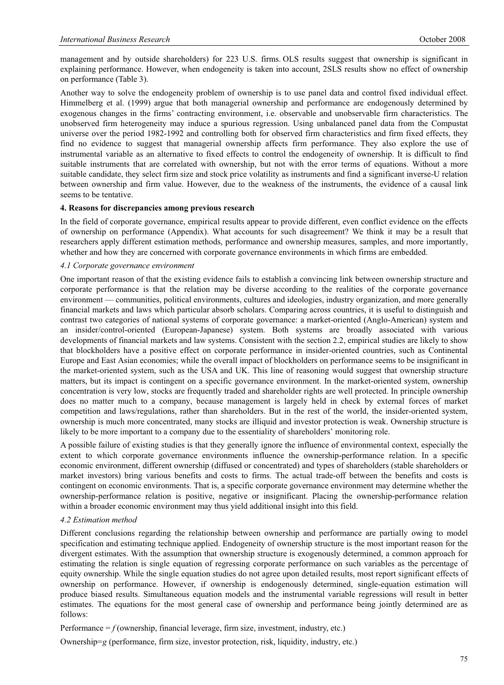management and by outside shareholders) for 223 U.S. firms. OLS results suggest that ownership is significant in explaining performance. However, when endogeneity is taken into account, 2SLS results show no effect of ownership on performance (Table 3).

Another way to solve the endogeneity problem of ownership is to use panel data and control fixed individual effect. Himmelberg et al. (1999) argue that both managerial ownership and performance are endogenously determined by exogenous changes in the firms' contracting environment, i.e. observable and unobservable firm characteristics. The unobserved firm heterogeneity may induce a spurious regression. Using unbalanced panel data from the Compustat universe over the period 1982-1992 and controlling both for observed firm characteristics and firm fixed effects, they find no evidence to suggest that managerial ownership affects firm performance. They also explore the use of instrumental variable as an alternative to fixed effects to control the endogeneity of ownership. It is difficult to find suitable instruments that are correlated with ownership, but not with the error terms of equations. Without a more suitable candidate, they select firm size and stock price volatility as instruments and find a significant inverse-U relation between ownership and firm value. However, due to the weakness of the instruments, the evidence of a causal link seems to be tentative.

#### **4. Reasons for discrepancies among previous research**

In the field of corporate governance, empirical results appear to provide different, even conflict evidence on the effects of ownership on performance (Appendix). What accounts for such disagreement? We think it may be a result that researchers apply different estimation methods, performance and ownership measures, samples, and more importantly, whether and how they are concerned with corporate governance environments in which firms are embedded.

#### *4.1 Corporate governance environment*

One important reason of that the existing evidence fails to establish a convincing link between ownership structure and corporate performance is that the relation may be diverse according to the realities of the corporate governance environment — communities, political environments, cultures and ideologies, industry organization, and more generally financial markets and laws which particular absorb scholars. Comparing across countries, it is useful to distinguish and contrast two categories of national systems of corporate governance: a market-oriented (Anglo-American) system and an insider/control-oriented (European-Japanese) system. Both systems are broadly associated with various developments of financial markets and law systems. Consistent with the section 2.2, empirical studies are likely to show that blockholders have a positive effect on corporate performance in insider-oriented countries, such as Continental Europe and East Asian economies; while the overall impact of blockholders on performance seems to be insignificant in the market-oriented system, such as the USA and UK. This line of reasoning would suggest that ownership structure matters, but its impact is contingent on a specific governance environment. In the market-oriented system, ownership concentration is very low, stocks are frequently traded and shareholder rights are well protected. In principle ownership does no matter much to a company, because management is largely held in check by external forces of market competition and laws/regulations, rather than shareholders. But in the rest of the world, the insider-oriented system, ownership is much more concentrated, many stocks are illiquid and investor protection is weak. Ownership structure is likely to be more important to a company due to the essentiality of shareholders' monitoring role.

A possible failure of existing studies is that they generally ignore the influence of environmental context, especially the extent to which corporate governance environments influence the ownership-performance relation. In a specific economic environment, different ownership (diffused or concentrated) and types of shareholders (stable shareholders or market investors) bring various benefits and costs to firms. The actual trade-off between the benefits and costs is contingent on economic environments. That is, a specific corporate governance environment may determine whether the ownership-performance relation is positive, negative or insignificant. Placing the ownership-performance relation within a broader economic environment may thus yield additional insight into this field.

#### *4.2 Estimation method*

Different conclusions regarding the relationship between ownership and performance are partially owing to model specification and estimating technique applied. Endogeneity of ownership structure is the most important reason for the divergent estimates. With the assumption that ownership structure is exogenously determined, a common approach for estimating the relation is single equation of regressing corporate performance on such variables as the percentage of equity ownership. While the single equation studies do not agree upon detailed results, most report significant effects of ownership on performance. However, if ownership is endogenously determined, single-equation estimation will produce biased results. Simultaneous equation models and the instrumental variable regressions will result in better estimates. The equations for the most general case of ownership and performance being jointly determined are as follows:

Performance  $=f$  (ownership, financial leverage, firm size, investment, industry, etc.)

Ownership=g (performance, firm size, investor protection, risk, liquidity, industry, etc.)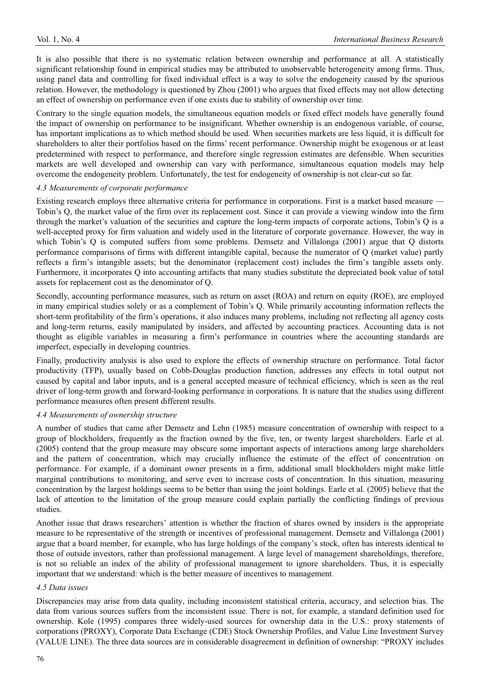It is also possible that there is no systematic relation between ownership and performance at all. A statistically significant relationship found in empirical studies may be attributed to unobservable heterogeneity among firms. Thus, using panel data and controlling for fixed individual effect is a way to solve the endogeneity caused by the spurious relation. However, the methodology is questioned by Zhou (2001) who argues that fixed effects may not allow detecting an effect of ownership on performance even if one exists due to stability of ownership over time.

Contrary to the single equation models, the simultaneous equation models or fixed effect models have generally found the impact of ownership on performance to be insignificant. Whether ownership is an endogenous variable, of course, has important implications as to which method should be used. When securities markets are less liquid, it is difficult for shareholders to alter their portfolios based on the firms' recent performance. Ownership might be exogenous or at least predetermined with respect to performance, and therefore single regression estimates are defensible. When securities markets are well developed and ownership can vary with performance, simultaneous equation models may help overcome the endogeneity problem. Unfortunately, the test for endogeneity of ownership is not clear-cut so far.

## *4.3 Measurements of corporate performance*

Existing research employs three alternative criteria for performance in corporations. First is a market based measure — Tobin's Q, the market value of the firm over its replacement cost. Since it can provide a viewing window into the firm through the market's valuation of the securities and capture the long-term impacts of corporate actions, Tobin's Q is a well-accepted proxy for firm valuation and widely used in the literature of corporate governance. However, the way in which Tobin's Q is computed suffers from some problems. Demsetz and Villalonga (2001) argue that Q distorts performance comparisons of firms with different intangible capital, because the numerator of Q (market value) partly reflects a firm's intangible assets; but the denominator (replacement cost) includes the firm's tangible assets only. Furthermore, it incorporates Q into accounting artifacts that many studies substitute the depreciated book value of total assets for replacement cost as the denominator of Q.

Secondly, accounting performance measures, such as return on asset (ROA) and return on equity (ROE), are employed in many empirical studies solely or as a complement of Tobin's Q. While primarily accounting information reflects the short-term profitability of the firm's operations, it also induces many problems, including not reflecting all agency costs and long-term returns, easily manipulated by insiders, and affected by accounting practices. Accounting data is not thought as eligible variables in measuring a firm's performance in countries where the accounting standards are imperfect, especially in developing countries.

Finally, productivity analysis is also used to explore the effects of ownership structure on performance. Total factor productivity (TFP), usually based on Cobb-Douglas production function, addresses any effects in total output not caused by capital and labor inputs, and is a general accepted measure of technical efficiency, which is seen as the real driver of long-term growth and forward-looking performance in corporations. It is nature that the studies using different performance measures often present different results.

## *4.4 Measurements of ownership structure*

A number of studies that came after Demsetz and Lehn (1985) measure concentration of ownership with respect to a group of blockholders, frequently as the fraction owned by the five, ten, or twenty largest shareholders. Earle et al. (2005) contend that the group measure may obscure some important aspects of interactions among large shareholders and the pattern of concentration, which may crucially influence the estimate of the effect of concentration on performance. For example, if a dominant owner presents in a firm, additional small blockholders might make little marginal contributions to monitoring, and serve even to increase costs of concentration. In this situation, measuring concentration by the largest holdings seems to be better than using the joint holdings. Earle et al. (2005) believe that the lack of attention to the limitation of the group measure could explain partially the conflicting findings of previous studies.

Another issue that draws researchers' attention is whether the fraction of shares owned by insiders is the appropriate measure to be representative of the strength or incentives of professional management. Demsetz and Villalonga (2001) argue that a board member, for example, who has large holdings of the company's stock, often has interests identical to those of outside investors, rather than professional management. A large level of management shareholdings, therefore, is not so reliable an index of the ability of professional management to ignore shareholders. Thus, it is especially important that we understand: which is the better measure of incentives to management.

## *4.5 Data issues*

Discrepancies may arise from data quality, including inconsistent statistical criteria, accuracy, and selection bias. The data from various sources suffers from the inconsistent issue. There is not, for example, a standard definition used for ownership. Kole (1995) compares three widely-used sources for ownership data in the U.S.: proxy statements of corporations (PROXY), Corporate Data Exchange (CDE) Stock Ownership Profiles, and Value Line Investment Survey (VALUE LINE). The three data sources are in considerable disagreement in definition of ownership: "PROXY includes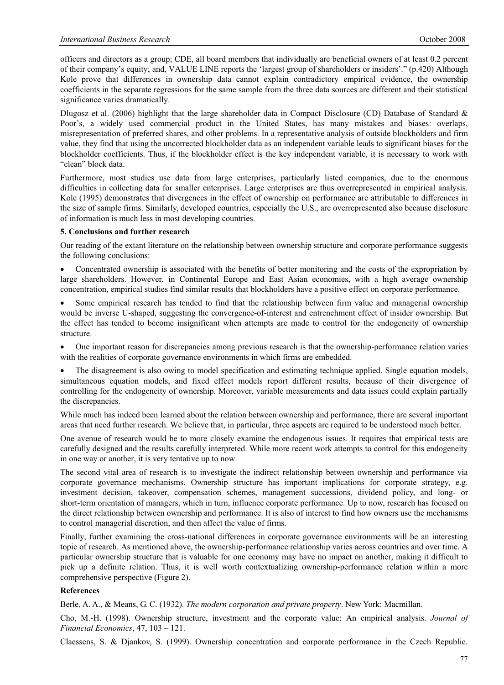officers and directors as a group; CDE, all board members that individually are beneficial owners of at least 0.2 percent of their company's equity; and, VALUE LINE reports the 'largest group of shareholders or insiders'." (p.420) Although Kole prove that differences in ownership data cannot explain contradictory empirical evidence, the ownership coefficients in the separate regressions for the same sample from the three data sources are different and their statistical significance varies dramatically.

Dlugosz et al. (2006) highlight that the large shareholder data in Compact Disclosure (CD) Database of Standard & Poor's, a widely used commercial product in the United States, has many mistakes and biases: overlaps, misrepresentation of preferred shares, and other problems. In a representative analysis of outside blockholders and firm value, they find that using the uncorrected blockholder data as an independent variable leads to significant biases for the blockholder coefficients. Thus, if the blockholder effect is the key independent variable, it is necessary to work with "clean" block data.

Furthermore, most studies use data from large enterprises, particularly listed companies, due to the enormous difficulties in collecting data for smaller enterprises. Large enterprises are thus overrepresented in empirical analysis. Kole (1995) demonstrates that divergences in the effect of ownership on performance are attributable to differences in the size of sample firms. Similarly, developed countries, especially the U.S., are overrepresented also because disclosure of information is much less in most developing countries.

## **5. Conclusions and further research**

Our reading of the extant literature on the relationship between ownership structure and corporate performance suggests the following conclusions:

Concentrated ownership is associated with the benefits of better monitoring and the costs of the expropriation by large shareholders. However, in Continental Europe and East Asian economies, with a high average ownership concentration, empirical studies find similar results that blockholders have a positive effect on corporate performance.

Some empirical research has tended to find that the relationship between firm value and managerial ownership would be inverse U-shaped, suggesting the convergence-of-interest and entrenchment effect of insider ownership. But the effect has tended to become insignificant when attempts are made to control for the endogeneity of ownership structure.

One important reason for discrepancies among previous research is that the ownership-performance relation varies with the realities of corporate governance environments in which firms are embedded.

The disagreement is also owing to model specification and estimating technique applied. Single equation models, simultaneous equation models, and fixed effect models report different results, because of their divergence of controlling for the endogeneity of ownership. Moreover, variable measurements and data issues could explain partially the discrepancies.

While much has indeed been learned about the relation between ownership and performance, there are several important areas that need further research. We believe that, in particular, three aspects are required to be understood much better.

One avenue of research would be to more closely examine the endogenous issues. It requires that empirical tests are carefully designed and the results carefully interpreted. While more recent work attempts to control for this endogeneity in one way or another, it is very tentative up to now.

The second vital area of research is to investigate the indirect relationship between ownership and performance via corporate governance mechanisms. Ownership structure has important implications for corporate strategy, e.g. investment decision, takeover, compensation schemes, management successions, dividend policy, and long- or short-term orientation of managers, which in turn, influence corporate performance. Up to now, research has focused on the direct relationship between ownership and performance. It is also of interest to find how owners use the mechanisms to control managerial discretion, and then affect the value of firms.

Finally, further examining the cross-national differences in corporate governance environments will be an interesting topic of research. As mentioned above, the ownership-performance relationship varies across countries and over time. A particular ownership structure that is valuable for one economy may have no impact on another, making it difficult to pick up a definite relation. Thus, it is well worth contextualizing ownership-performance relation within a more comprehensive perspective (Figure 2).

## **References**

Berle, A. A., & Means, G. C. (1932). *The modern corporation and private property*. New York: Macmillan.

Cho, M.-H. (1998). Ownership structure, investment and the corporate value: An empirical analysis. *Journal of Financial Economics*, 47, 103 – 121.

Claessens, S. & Djankov, S. (1999). Ownership concentration and corporate performance in the Czech Republic.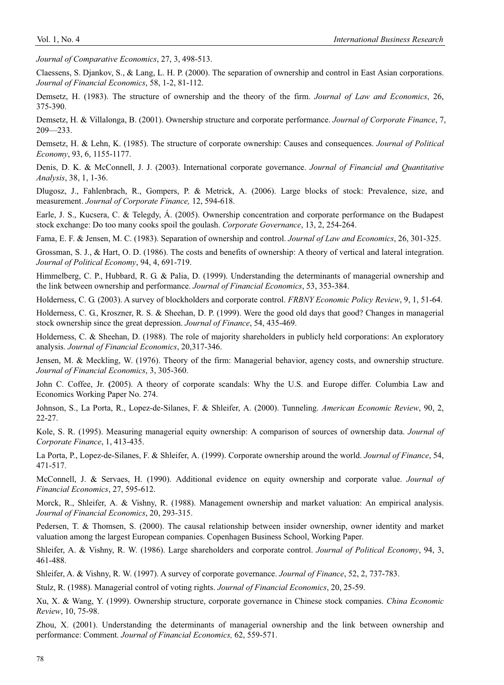*Journal of Comparative Economics*, 27, 3, 498-513.

Claessens, S. Djankov, S., & Lang, L. H. P. (2000). The separation of ownership and control in East Asian corporations. *Journal of Financial Economics*, 58, 1-2, 81-112.

Demsetz, H. (1983). The structure of ownership and the theory of the firm. *Journal of Law and Economics*, 26, 375-390.

Demsetz, H. & Villalonga, B. (2001). Ownership structure and corporate performance. *Journal of Corporate Finance*, 7, 209—233.

Demsetz, H. & Lehn, K. (1985). The structure of corporate ownership: Causes and consequences. *Journal of Political Economy*, 93, 6, 1155-1177.

Denis, D. K. & McConnell, J. J. (2003). International corporate governance. *Journal of Financial and Quantitative Analysis*, 38, 1, 1-36.

Dlugosz, J., Fahlenbrach, R., Gompers, P. & Metrick, A. (2006). Large blocks of stock: Prevalence, size, and measurement. *Journal of Corporate Finance,* 12, 594-618.

Earle, J. S., Kucsera, C. & Telegdy, Á. (2005). Ownership concentration and corporate performance on the Budapest stock exchange: Do too many cooks spoil the goulash. *Corporate Governance*, 13, 2, 254-264.

Fama, E. F. & Jensen, M. C. (1983). Separation of ownership and control. *Journal of Law and Economics*, 26, 301-325.

Grossman, S. J., & Hart, O. D. (1986). The costs and benefits of ownership: A theory of vertical and lateral integration. *Journal of Political Economy*, 94, 4, 691-719.

Himmelberg, C. P., Hubbard, R. G. & Palia, D. (1999). Understanding the determinants of managerial ownership and the link between ownership and performance. *Journal of Financial Economics*, 53, 353-384.

Holderness, C. G. (2003). A survey of blockholders and corporate control. *FRBNY Economic Policy Review*, 9, 1, 51-64.

Holderness, C. G., Kroszner, R. S. & Sheehan, D. P. (1999). Were the good old days that good? Changes in managerial stock ownership since the great depression. *Journal of Finance*, 54, 435-469.

Holderness, C. & Sheehan, D. (1988). The role of majority shareholders in publicly held corporations: An exploratory analysis. *Journal of Financial Economics*, 20,317-346.

Jensen, M. & Meckling, W. (1976). Theory of the firm: Managerial behavior, agency costs, and ownership structure. *Journal of Financial Economics*, 3, 305-360.

John C. Coffee, Jr. **(**2005). A theory of corporate scandals: Why the U.S. and Europe differ. Columbia Law and Economics Working Paper No. 274.

Johnson, S., La Porta, R., Lopez-de-Silanes, F. & Shleifer, A. (2000). Tunneling. *American Economic Review*, 90, 2, 22-27.

Kole, S. R. (1995). Measuring managerial equity ownership: A comparison of sources of ownership data. *Journal of Corporate Finance*, 1, 413-435.

La Porta, P., Lopez-de-Silanes, F. & Shleifer, A. (1999). Corporate ownership around the world. *Journal of Finance*, 54, 471-517.

McConnell, J. & Servaes, H. (1990). Additional evidence on equity ownership and corporate value. *Journal of Financial Economics*, 27, 595-612.

Morck, R., Shleifer, A. & Vishny, R. (1988). Management ownership and market valuation: An empirical analysis. *Journal of Financial Economics*, 20, 293-315.

Pedersen, T. & Thomsen, S. (2000). The causal relationship between insider ownership, owner identity and market valuation among the largest European companies. Copenhagen Business School, Working Paper.

Shleifer, A. & Vishny, R. W. (1986). Large shareholders and corporate control. *Journal of Political Economy*, 94, 3, 461-488.

Shleifer, A. & Vishny, R. W. (1997). A survey of corporate governance. *Journal of Finance*, 52, 2, 737-783.

Stulz, R. (1988). Managerial control of voting rights. *Journal of Financial Economics*, 20, 25-59.

Xu, X. & Wang, Y. (1999). Ownership structure, corporate governance in Chinese stock companies. *China Economic Review*, 10, 75-98.

Zhou, X. (2001). Understanding the determinants of managerial ownership and the link between ownership and performance: Comment. *Journal of Financial Economics,* 62, 559-571.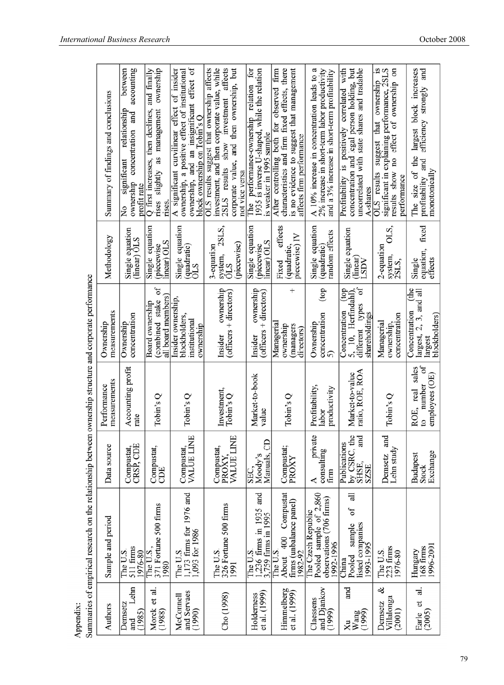|                                                                                                           | Summary of findings and conclusions | accounting<br>between<br>relationship<br>and<br>concentration<br>significant<br>ownership<br>profit rate<br>$\frac{1}{2}$ | slightly as management ownership<br>Q first increases, then declines, and finally<br>rises<br>rises. | ownership, and an insignificant effect of<br>A significant curvilinear effect of insider<br>ownership, a positive effect of institutional<br>block ownership on Tobin's O | investment, and then corporate value, while<br>2SLS results show investment affects<br>OLS results suggest that ownership affects<br>corporate value, and then ownership, but<br>not vice versa | for<br>1935 is inverse U-shaped, while the relation<br>The performance-ownership relation<br>is weaker in 1995 sample | is no evidence to suggest that management<br>firm<br>characteristics and firm fixed effects, there<br>After controlling both for observed<br>affects firm performance | A 10% increase in concentration leads to a<br>2% increase in short-term labor productivity<br>and a 3% increase in short-term profitability | Profitability is positively correlated with<br>concentration and legal person holding, but<br>uncorrelated with state shares and tradable<br>A-shares | results show no effect of ownership on<br>1S<br>significant in explaining performance, 2SLS<br>suggest that ownership<br>OLS results<br>performance | largest block increases<br>and<br>efficiency strongly<br>The size of the<br>profitability and<br>monotonically |
|-----------------------------------------------------------------------------------------------------------|-------------------------------------|---------------------------------------------------------------------------------------------------------------------------|------------------------------------------------------------------------------------------------------|---------------------------------------------------------------------------------------------------------------------------------------------------------------------------|-------------------------------------------------------------------------------------------------------------------------------------------------------------------------------------------------|-----------------------------------------------------------------------------------------------------------------------|-----------------------------------------------------------------------------------------------------------------------------------------------------------------------|---------------------------------------------------------------------------------------------------------------------------------------------|-------------------------------------------------------------------------------------------------------------------------------------------------------|-----------------------------------------------------------------------------------------------------------------------------------------------------|----------------------------------------------------------------------------------------------------------------|
|                                                                                                           | Methodology                         | Single equation<br>(linear) OLS                                                                                           | Single equation<br>linear) OLS<br>(piecewise                                                         | Single equation<br>(quadratic)<br>STO                                                                                                                                     | 2SLS,<br>(piecewise)<br>3-equation<br>system,<br><b>ÖLS</b>                                                                                                                                     | Single equation<br>linear) OLS<br>(piecewise                                                                          | effects<br>piecewise) IV<br>(quadratic,<br>Fixed                                                                                                                      | Single equation<br>random effects<br>(quadratic)                                                                                            | Single equation<br>(linear)<br>LSDV                                                                                                                   | OLS.<br>2-equation<br>system,<br>2SLS,                                                                                                              | fixed<br>equation,<br>Single<br>effects                                                                        |
| summaries of empirical research on the relationship between ownership structure and corporate performance | measurements<br>Ownership           | concentration<br>Ownership                                                                                                | $\sigma f$<br>all board members)<br>(combined stake<br>Board ownership                               | Insider ownership,<br>blockholders,<br>institutional<br>ownership                                                                                                         | ownership<br>$(officers + directors)$<br>Insider                                                                                                                                                | ownership<br>$(offices + directors)$<br>Insider                                                                       | $^{+}$<br>Managerial<br>ownership<br>(managers<br>directors)                                                                                                          | (top<br>concentration<br>Ownership<br>5)                                                                                                    | ъf<br>Concentration (top<br>5, 10, Herfindahl),<br>types<br>shareholdings<br>different                                                                | concentration<br>Managerial<br>ownership,                                                                                                           | (the<br>largest, 2, 3, and all<br>Concentration<br>blockholders)<br>largest                                    |
|                                                                                                           | measurements<br>Performance         | Accounting profit<br>rate                                                                                                 | Tobin's Q                                                                                            | Tobin's Q                                                                                                                                                                 | Investment,<br>Tobin's Q                                                                                                                                                                        | Market-to-book<br>value                                                                                               | $Tobin's$ <sup>O</sup>                                                                                                                                                | Profitability,<br>productivity<br>labor                                                                                                     | ratio, ROE, ROA<br>Market-to-value                                                                                                                    | Tobin's Q                                                                                                                                           | $\sigma$ f<br>ROE, real sales<br>employees (OE)<br>number<br>ø                                                 |
|                                                                                                           | Data source                         | Compustat,<br>CRSP, CDE                                                                                                   | Compustat,<br>CDE                                                                                    | <b>VALUE LINE</b><br>Compustat,                                                                                                                                           | <b>VALUE LINE</b><br>Compustat,<br>PROXY,                                                                                                                                                       | Manuals, CD<br>Moody's<br>SEC,                                                                                        | Compustat;<br>PROXY                                                                                                                                                   | private<br>consulting<br>firm<br>⋖                                                                                                          | by CSRC, the<br>and<br>Publications<br>SHSE,<br>SZSE                                                                                                  | and<br>Lehn study<br>Demsetz                                                                                                                        | Exchange<br><b>Budapest</b><br><b>Stock</b>                                                                    |
|                                                                                                           | Sample and period                   | 511 firms<br>The U.S.<br>1976-80                                                                                          | 371 Fortune 500 firms<br>The U.S.,<br>1980                                                           | 1,173 firms for 1976 and<br>1,093 for 1986<br>The U.S.                                                                                                                    | 326 Fortune 500 firms<br>The U.S.<br>1991                                                                                                                                                       | 1,236 firms in 1935 and<br>3,759 firms in 1995<br>The U.S.                                                            | Compustat<br>firms (unbalance panel)<br>400<br>The U.S.<br>1982-92<br>About                                                                                           | Pooled sample of 2,860<br>observations (706 firms)<br>The Czech Republic<br>1992-1996                                                       | $\exists$<br>οf<br>sample<br>listed companies<br>1993-1995<br>Pooled<br>China                                                                         | 223 firms<br>The U.S.<br>1976-80                                                                                                                    | 1996-2001<br>Hungary<br>168 firms                                                                              |
|                                                                                                           | Authors                             | Lehn<br>Demsetz<br>(1985)<br>and                                                                                          | et al.<br>Morck<br>(1988)                                                                            | and Servaes<br>McConnell<br>(1990)                                                                                                                                        | Cho (1998)                                                                                                                                                                                      | et al. (1999)<br>Holderness                                                                                           | Himmelberg<br>et al. (1999)                                                                                                                                           | and Djankov<br>Claessens<br>(1999)                                                                                                          | and<br>Wang<br>(1999)<br>Χu                                                                                                                           | ళ<br>Villalonga<br>Demsetz<br>(2001)                                                                                                                | ੜਂ<br>đ<br>(2005)<br>Earle                                                                                     |

کئ é J. ł  $\epsilon$ Appendix:<br>Summaries o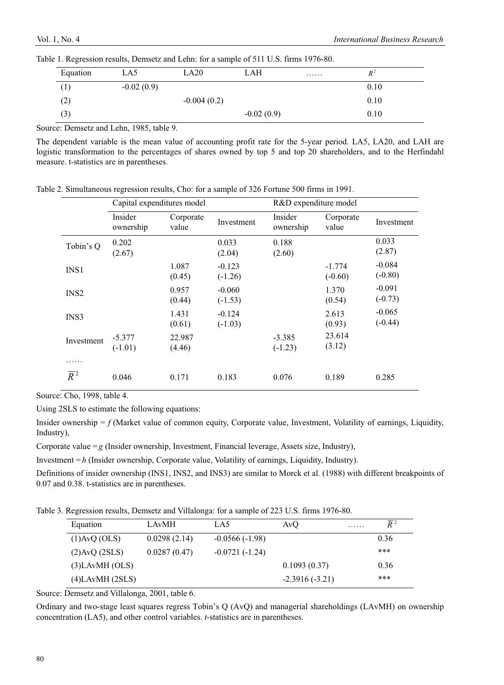| Equation          | LA5          | LA20          | LAH          | . | $R^2$ |
|-------------------|--------------|---------------|--------------|---|-------|
|                   | $-0.02(0.9)$ |               |              |   | 0.10  |
| $\left( 2\right)$ |              | $-0.004(0.2)$ |              |   | 0.10  |
| (3)               |              |               | $-0.02(0.9)$ |   | 0.10  |

Table 1. Regression results, Demsetz and Lehn: for a sample of 511 U.S. firms 1976-80.

Source: Demsetz and Lehn, 1985, table 9.

The dependent variable is the mean value of accounting profit rate for the 5-year period. LA5, LA20, and LAH are logistic transformation to the percentages of shares owned by top 5 and top 20 shareholders, and to the Herfindahl measure. t-statistics are in parentheses.

|                  |                       | Capital expenditures model |                       | R&D expenditure model |                       |                       |  |
|------------------|-----------------------|----------------------------|-----------------------|-----------------------|-----------------------|-----------------------|--|
|                  | Insider<br>ownership  | Corporate<br>value         | Investment            | Insider<br>ownership  | Corporate<br>value    | Investment            |  |
| Tobin's Q        | 0.202<br>(2.67)       |                            | 0.033<br>(2.04)       | 0.188<br>(2.60)       |                       | 0.033<br>(2.87)       |  |
| INS <sub>1</sub> |                       | 1.087<br>(0.45)            | $-0.123$<br>$(-1.26)$ |                       | $-1.774$<br>$(-0.60)$ | $-0.084$<br>$(-0.80)$ |  |
| INS <sub>2</sub> |                       | 0.957<br>(0.44)            | $-0.060$<br>$(-1.53)$ |                       | 1.370<br>(0.54)       | $-0.091$<br>$(-0.73)$ |  |
| INS3             |                       | 1.431<br>(0.61)            | $-0.124$<br>$(-1.03)$ |                       | 2.613<br>(0.93)       | $-0.065$<br>$(-0.44)$ |  |
| Investment       | $-5.377$<br>$(-1.01)$ | 22.987<br>(4.46)           |                       | $-3.385$<br>$(-1.23)$ | 23.614<br>(3.12)      |                       |  |
| .                |                       |                            |                       |                       |                       |                       |  |
| $\overline{R}^2$ | 0.046                 | 0.171                      | 0.183                 | 0.076                 | 0.189                 | 0.285                 |  |

Table 2. Simultaneous regression results, Cho: for a sample of 326 Fortune 500 firms in 1991.

Source: Cho, 1998, table 4.

Using 2SLS to estimate the following equations:

Insider ownership  $= f$  (Market value of common equity, Corporate value, Investment, Volatility of earnings, Liquidity, Industry),

Corporate value  $=g$  (Insider ownership, Investment, Financial leverage, Assets size, Industry),

Investment = *h* (Insider ownership, Corporate value, Volatility of earnings, Liquidity, Industry).

Definitions of insider ownership (INS1, INS2, and INS3) are similar to Morck et al. (1988) with different breakpoints of 0.07 and 0.38. t-statistics are in parentheses.

Table 3. Regression results, Demsetz and Villalonga: for a sample of 223 U.S. firms 1976-80.

| Equation             | LAvMH        | LA5              | AvO              | . | $\overline{R}$ 2 |
|----------------------|--------------|------------------|------------------|---|------------------|
| $(1)$ AvQ $(OLS)$    | 0.0298(2.14) | $-0.0566(-1.98)$ |                  |   | 0.36             |
| (2)AvQ (2SLS)        | 0.0287(0.47) | $-0.0721(-1.24)$ |                  |   | ***              |
| $(3)$ LAvMH $(OLS)$  |              |                  | 0.1093(0.37)     |   | 0.36             |
| $(4)$ LAvMH $(2SLS)$ |              |                  | $-2.3916(-3.21)$ |   | ***              |

Source: Demsetz and Villalonga, 2001, table 6.

Ordinary and two-stage least squares regress Tobin's Q (AvQ) and managerial shareholdings (LAvMH) on ownership concentration (LA5), and other control variables. *t*-statistics are in parentheses.